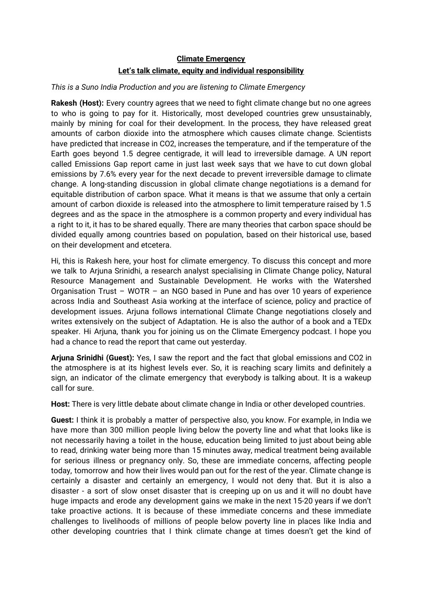## **Climate Emergency Let's talk climate, equity and individual responsibility**

## *This is a Suno India Production and you are listening to Climate Emergency*

**Rakesh (Host):** Every country agrees that we need to fight climate change but no one agrees to who is going to pay for it. Historically, most developed countries grew unsustainably, mainly by mining for coal for their development. In the process, they have released great amounts of carbon dioxide into the atmosphere which causes climate change. Scientists have predicted that increase in CO2, increases the temperature, and if the temperature of the Earth goes beyond 1.5 degree centigrade, it will lead to irreversible damage. A UN report called Emissions Gap report came in just last week says that we have to cut down global emissions by 7.6% every year for the next decade to prevent irreversible damage to climate change. A long-standing discussion in global climate change negotiations is a demand for equitable distribution of carbon space. What it means is that we assume that only a certain amount of carbon dioxide is released into the atmosphere to limit temperature raised by 1.5 degrees and as the space in the atmosphere is a common property and every individual has a right to it, it has to be shared equally. There are many theories that carbon space should be divided equally among countries based on population, based on their historical use, based on their development and etcetera.

Hi, this is Rakesh here, your host for climate emergency. To discuss this concept and more we talk to Arjuna Srinidhi, a research analyst specialising in Climate Change policy, Natural Resource Management and Sustainable Development. He works with the Watershed Organisation Trust – WOTR – an NGO based in Pune and has over 10 years of experience across India and Southeast Asia working at the interface of science, policy and practice of development issues. Arjuna follows international Climate Change negotiations closely and writes extensively on the subject of Adaptation. He is also the author of a book and a TEDx speaker. Hi Arjuna, thank you for joining us on the Climate Emergency podcast. I hope you had a chance to read the report that came out yesterday.

**Arjuna Srinidhi (Guest):** Yes, I saw the report and the fact that global emissions and CO2 in the atmosphere is at its highest levels ever. So, it is reaching scary limits and definitely a sign, an indicator of the climate emergency that everybody is talking about. It is a wakeup call for sure.

**Host:** There is very little debate about climate change in India or other developed countries.

**Guest:** I think it is probably a matter of perspective also, you know. For example, in India we have more than 300 million people living below the poverty line and what that looks like is not necessarily having a toilet in the house, education being limited to just about being able to read, drinking water being more than 15 minutes away, medical treatment being available for serious illness or pregnancy only. So, these are immediate concerns, affecting people today, tomorrow and how their lives would pan out for the rest of the year. Climate change is certainly a disaster and certainly an emergency, I would not deny that. But it is also a disaster - a sort of slow onset disaster that is creeping up on us and it will no doubt have huge impacts and erode any development gains we make in the next 15-20 years if we don't take proactive actions. It is because of these immediate concerns and these immediate challenges to livelihoods of millions of people below poverty line in places like India and other developing countries that I think climate change at times doesn't get the kind of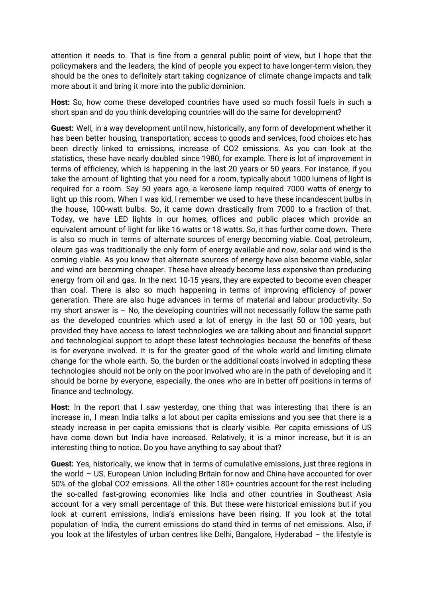attention it needs to. That is fine from a general public point of view, but I hope that the policymakers and the leaders, the kind of people you expect to have longer-term vision, they should be the ones to definitely start taking cognizance of climate change impacts and talk more about it and bring it more into the public dominion.

**Host:** So, how come these developed countries have used so much fossil fuels in such a short span and do you think developing countries will do the same for development?

**Guest:** Well, in a way development until now, historically, any form of development whether it has been better housing, transportation, access to goods and services, food choices etc has been directly linked to emissions, increase of CO2 emissions. As you can look at the statistics, these have nearly doubled since 1980, for example. There is lot of improvement in terms of efficiency, which is happening in the last 20 years or 50 years. For instance, if you take the amount of lighting that you need for a room, typically about 1000 lumens of light is required for a room. Say 50 years ago, a kerosene lamp required 7000 watts of energy to light up this room. When I was kid, I remember we used to have these incandescent bulbs in the house, 100-watt bulbs. So, it came down drastically from 7000 to a fraction of that. Today, we have LED lights in our homes, offices and public places which provide an equivalent amount of light for like 16 watts or 18 watts. So, it has further come down. There is also so much in terms of alternate sources of energy becoming viable. Coal, petroleum, oleum gas was traditionally the only form of energy available and now, solar and wind is the coming viable. As you know that alternate sources of energy have also become viable, solar and wind are becoming cheaper. These have already become less expensive than producing energy from oil and gas. In the next 10-15 years, they are expected to become even cheaper than coal. There is also so much happening in terms of improving efficiency of power generation. There are also huge advances in terms of material and labour productivity. So my short answer is  $-$  No, the developing countries will not necessarily follow the same path as the developed countries which used a lot of energy in the last 50 or 100 years, but provided they have access to latest technologies we are talking about and financial support and technological support to adopt these latest technologies because the benefits of these is for everyone involved. It is for the greater good of the whole world and limiting climate change for the whole earth. So, the burden or the additional costs involved in adopting these technologies should not be only on the poor involved who are in the path of developing and it should be borne by everyone, especially, the ones who are in better off positions in terms of finance and technology.

Host: In the report that I saw yesterday, one thing that was interesting that there is an increase in, I mean India talks a lot about per capita emissions and you see that there is a steady increase in per capita emissions that is clearly visible. Per capita emissions of US have come down but India have increased. Relatively, it is a minor increase, but it is an interesting thing to notice. Do you have anything to say about that?

**Guest:** Yes, historically, we know that in terms of cumulative emissions, just three regions in the world – US, European Union including Britain for now and China have accounted for over 50% of the global CO2 emissions. All the other 180+ countries account for the rest including the so-called fast-growing economies like India and other countries in Southeast Asia account for a very small percentage of this. But these were historical emissions but if you look at current emissions, India's emissions have been rising. If you look at the total population of India, the current emissions do stand third in terms of net emissions. Also, if you look at the lifestyles of urban centres like Delhi, Bangalore, Hyderabad – the lifestyle is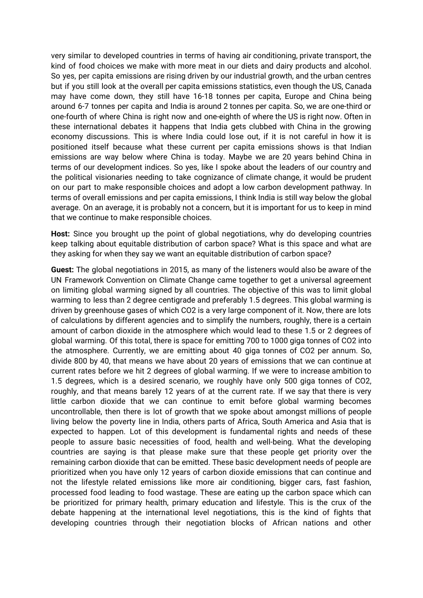very similar to developed countries in terms of having air conditioning, private transport, the kind of food choices we make with more meat in our diets and dairy products and alcohol. So yes, per capita emissions are rising driven by our industrial growth, and the urban centres but if you still look at the overall per capita emissions statistics, even though the US, Canada may have come down, they still have 16-18 tonnes per capita, Europe and China being around 6-7 tonnes per capita and India is around 2 tonnes per capita. So, we are one-third or one-fourth of where China is right now and one-eighth of where the US is right now. Often in these international debates it happens that India gets clubbed with China in the growing economy discussions. This is where India could lose out, if it is not careful in how it is positioned itself because what these current per capita emissions shows is that Indian emissions are way below where China is today. Maybe we are 20 years behind China in terms of our development indices. So yes, like I spoke about the leaders of our country and the political visionaries needing to take cognizance of climate change, it would be prudent on our part to make responsible choices and adopt a low carbon development pathway. In terms of overall emissions and per capita emissions, I think India is still way below the global average. On an average, it is probably not a concern, but it is important for us to keep in mind that we continue to make responsible choices.

**Host:** Since you brought up the point of global negotiations, why do developing countries keep talking about equitable distribution of carbon space? What is this space and what are they asking for when they say we want an equitable distribution of carbon space?

**Guest:** The global negotiations in 2015, as many of the listeners would also be aware of the UN Framework Convention on Climate Change came together to get a universal agreement on limiting global warming signed by all countries. The objective of this was to limit global warming to less than 2 degree centigrade and preferably 1.5 degrees. This global warming is driven by greenhouse gases of which CO2 is a very large component of it. Now, there are lots of calculations by different agencies and to simplify the numbers, roughly, there is a certain amount of carbon dioxide in the atmosphere which would lead to these 1.5 or 2 degrees of global warming. Of this total, there is space for emitting 700 to 1000 giga tonnes of CO2 into the atmosphere. Currently, we are emitting about 40 giga tonnes of CO2 per annum. So, divide 800 by 40, that means we have about 20 years of emissions that we can continue at current rates before we hit 2 degrees of global warming. If we were to increase ambition to 1.5 degrees, which is a desired scenario, we roughly have only 500 giga tonnes of CO2, roughly, and that means barely 12 years of at the current rate. If we say that there is very little carbon dioxide that we can continue to emit before global warming becomes uncontrollable, then there is lot of growth that we spoke about amongst millions of people living below the poverty line in India, others parts of Africa, South America and Asia that is expected to happen. Lot of this development is fundamental rights and needs of these people to assure basic necessities of food, health and well-being. What the developing countries are saying is that please make sure that these people get priority over the remaining carbon dioxide that can be emitted. These basic development needs of people are prioritized when you have only 12 years of carbon dioxide emissions that can continue and not the lifestyle related emissions like more air conditioning, bigger cars, fast fashion, processed food leading to food wastage. These are eating up the carbon space which can be prioritized for primary health, primary education and lifestyle. This is the crux of the debate happening at the international level negotiations, this is the kind of fights that developing countries through their negotiation blocks of African nations and other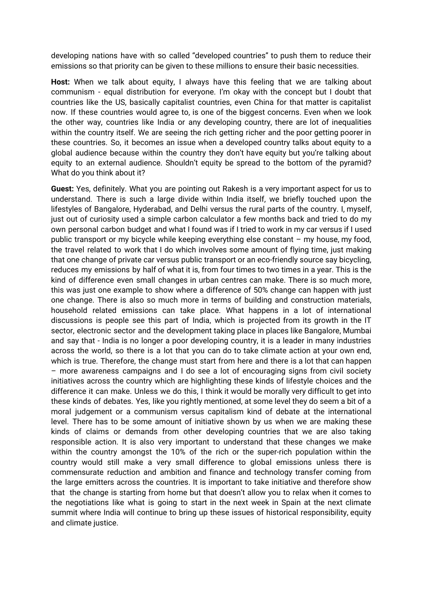developing nations have with so called "developed countries" to push them to reduce their emissions so that priority can be given to these millions to ensure their basic necessities.

**Host:** When we talk about equity, I always have this feeling that we are talking about communism - equal distribution for everyone. I'm okay with the concept but I doubt that countries like the US, basically capitalist countries, even China for that matter is capitalist now. If these countries would agree to, is one of the biggest concerns. Even when we look the other way, countries like India or any developing country, there are lot of inequalities within the country itself. We are seeing the rich getting richer and the poor getting poorer in these countries. So, it becomes an issue when a developed country talks about equity to a global audience because within the country they don't have equity but you're talking about equity to an external audience. Shouldn't equity be spread to the bottom of the pyramid? What do you think about it?

**Guest:** Yes, definitely. What you are pointing out Rakesh is a very important aspect for us to understand. There is such a large divide within India itself, we briefly touched upon the lifestyles of Bangalore, Hyderabad, and Delhi versus the rural parts of the country. I, myself, just out of curiosity used a simple carbon calculator a few months back and tried to do my own personal carbon budget and what I found was if I tried to work in my car versus if I used public transport or my bicycle while keeping everything else constant – my house, my food, the travel related to work that I do which involves some amount of flying time, just making that one change of private car versus public transport or an eco-friendly source say bicycling, reduces my emissions by half of what it is, from four times to two times in a year. This is the kind of difference even small changes in urban centres can make. There is so much more, this was just one example to show where a difference of 50% change can happen with just one change. There is also so much more in terms of building and construction materials, household related emissions can take place. What happens in a lot of international discussions is people see this part of India, which is projected from its growth in the IT sector, electronic sector and the development taking place in places like Bangalore, Mumbai and say that - India is no longer a poor developing country, it is a leader in many industries across the world, so there is a lot that you can do to take climate action at your own end, which is true. Therefore, the change must start from here and there is a lot that can happen – more awareness campaigns and I do see a lot of encouraging signs from civil society initiatives across the country which are highlighting these kinds of lifestyle choices and the difference it can make. Unless we do this, I think it would be morally very difficult to get into these kinds of debates. Yes, like you rightly mentioned, at some level they do seem a bit of a moral judgement or a communism versus capitalism kind of debate at the international level. There has to be some amount of initiative shown by us when we are making these kinds of claims or demands from other developing countries that we are also taking responsible action. It is also very important to understand that these changes we make within the country amongst the 10% of the rich or the super-rich population within the country would still make a very small difference to global emissions unless there is commensurate reduction and ambition and finance and technology transfer coming from the large emitters across the countries. It is important to take initiative and therefore show that the change is starting from home but that doesn't allow you to relax when it comes to the negotiations like what is going to start in the next week in Spain at the next climate summit where India will continue to bring up these issues of historical responsibility, equity and climate justice.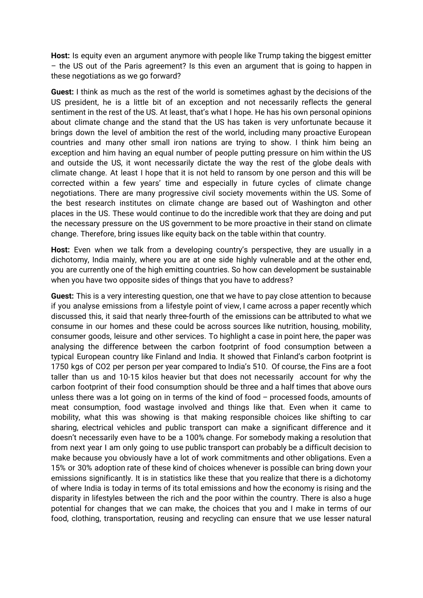**Host:** Is equity even an argument anymore with people like Trump taking the biggest emitter – the US out of the Paris agreement? Is this even an argument that is going to happen in these negotiations as we go forward?

**Guest:** I think as much as the rest of the world is sometimes aghast by the decisions of the US president, he is a little bit of an exception and not necessarily reflects the general sentiment in the rest of the US. At least, that's what I hope. He has his own personal opinions about climate change and the stand that the US has taken is very unfortunate because it brings down the level of ambition the rest of the world, including many proactive European countries and many other small iron nations are trying to show. I think him being an exception and him having an equal number of people putting pressure on him within the US and outside the US, it wont necessarily dictate the way the rest of the globe deals with climate change. At least I hope that it is not held to ransom by one person and this will be corrected within a few years' time and especially in future cycles of climate change negotiations. There are many progressive civil society movements within the US. Some of the best research institutes on climate change are based out of Washington and other places in the US. These would continue to do the incredible work that they are doing and put the necessary pressure on the US government to be more proactive in their stand on climate change. Therefore, bring issues like equity back on the table within that country.

**Host:** Even when we talk from a developing country's perspective, they are usually in a dichotomy, India mainly, where you are at one side highly vulnerable and at the other end, you are currently one of the high emitting countries. So how can development be sustainable when you have two opposite sides of things that you have to address?

**Guest:** This is a very interesting question, one that we have to pay close attention to because if you analyse emissions from a lifestyle point of view, I came across a paper recently which discussed this, it said that nearly three-fourth of the emissions can be attributed to what we consume in our homes and these could be across sources like nutrition, housing, mobility, consumer goods, leisure and other services. To highlight a case in point here, the paper was analysing the difference between the carbon footprint of food consumption between a typical European country like Finland and India. It showed that Finland's carbon footprint is 1750 kgs of CO2 per person per year compared to India's 510. Of course, the Fins are a foot taller than us and 10-15 kilos heavier but that does not necessarily account for why the carbon footprint of their food consumption should be three and a half times that above ours unless there was a lot going on in terms of the kind of food – processed foods, amounts of meat consumption, food wastage involved and things like that. Even when it came to mobility, what this was showing is that making responsible choices like shifting to car sharing, electrical vehicles and public transport can make a significant difference and it doesn't necessarily even have to be a 100% change. For somebody making a resolution that from next year I am only going to use public transport can probably be a difficult decision to make because you obviously have a lot of work commitments and other obligations. Even a 15% or 30% adoption rate of these kind of choices whenever is possible can bring down your emissions significantly. It is in statistics like these that you realize that there is a dichotomy of where India is today in terms of its total emissions and how the economy is rising and the disparity in lifestyles between the rich and the poor within the country. There is also a huge potential for changes that we can make, the choices that you and I make in terms of our food, clothing, transportation, reusing and recycling can ensure that we use lesser natural